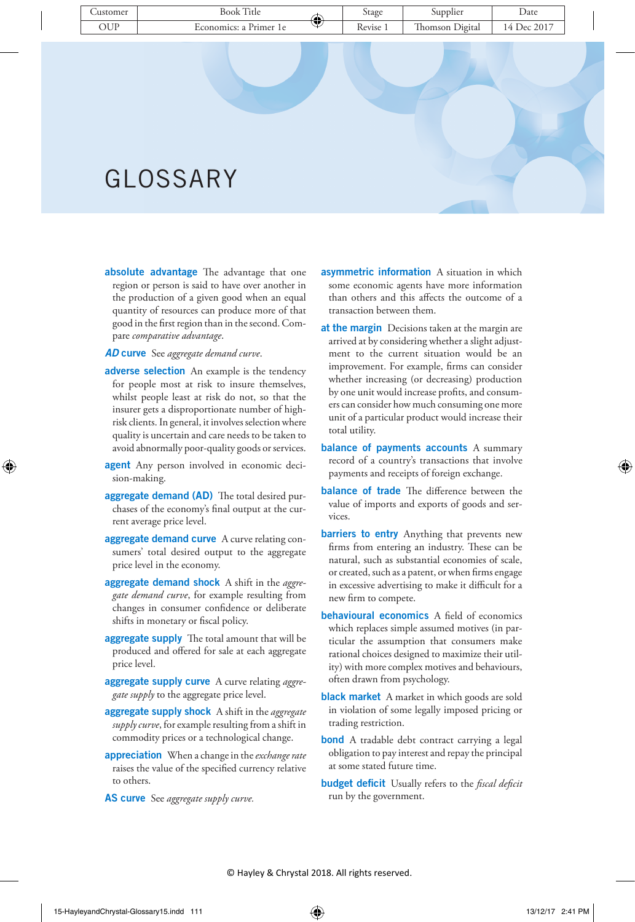# GLOSSARY

absolute advantage The advantage that one region or person is said to have over another in the production of a given good when an equal quantity of resources can produce more of that good in the first region than in the second. Compare *comparative advantage*.

*AD* curve See *aggregate demand curve*.

- adverse selection An example is the tendency for people most at risk to insure themselves, whilst people least at risk do not, so that the insurer gets a disproportionate number of highrisk clients. In general, it involves selection where quality is uncertain and care needs to be taken to avoid abnormally poor-quality goods or services.
- agent Any person involved in economic decision-making.
- aggregate demand (AD) The total desired purchases of the economy's final output at the current average price level.
- aggregate demand curve A curve relating consumers' total desired output to the aggregate price level in the economy.
- aggregate demand shock A shift in the *aggregate demand curve*, for example resulting from changes in consumer confidence or deliberate shifts in monetary or fiscal policy.
- aggregate supply The total amount that will be produced and offered for sale at each aggregate price level.
- aggregate supply curve A curve relating *aggregate supply* to the aggregate price level.
- aggregate supply shock A shift in the *aggregate supply curve*, for example resulting from a shift in commodity prices or a technological change.
- appreciation When a change in the *exchange rate* raises the value of the specified currency relative to others.
- AS curve See *aggregate supply curve.*
- asymmetric information A situation in which some economic agents have more information than others and this affects the outcome of a transaction between them.
- at the margin Decisions taken at the margin are arrived at by considering whether a slight adjustment to the current situation would be an improvement. For example, firms can consider whether increasing (or decreasing) production by one unit would increase profits, and consumers can consider how much consuming one more unit of a particular product would increase their total utility.
- balance of payments accounts A summary record of a country's transactions that involve payments and receipts of foreign exchange.
- balance of trade The difference between the value of imports and exports of goods and services.
- barriers to entry Anything that prevents new firms from entering an industry. These can be natural, such as substantial economies of scale, or created, such as a patent, or when firms engage in excessive advertising to make it difficult for a new firm to compete.
- behavioural economics A field of economics which replaces simple assumed motives (in particular the assumption that consumers make rational choices designed to maximize their utility) with more complex motives and behaviours, often drawn from psychology.
- black market A market in which goods are sold in violation of some legally imposed pricing or trading restriction.
- **bond** A tradable debt contract carrying a legal obligation to pay interest and repay the principal at some stated future time.
- budget deficit Usually refers to the *fiscal deficit* run by the government.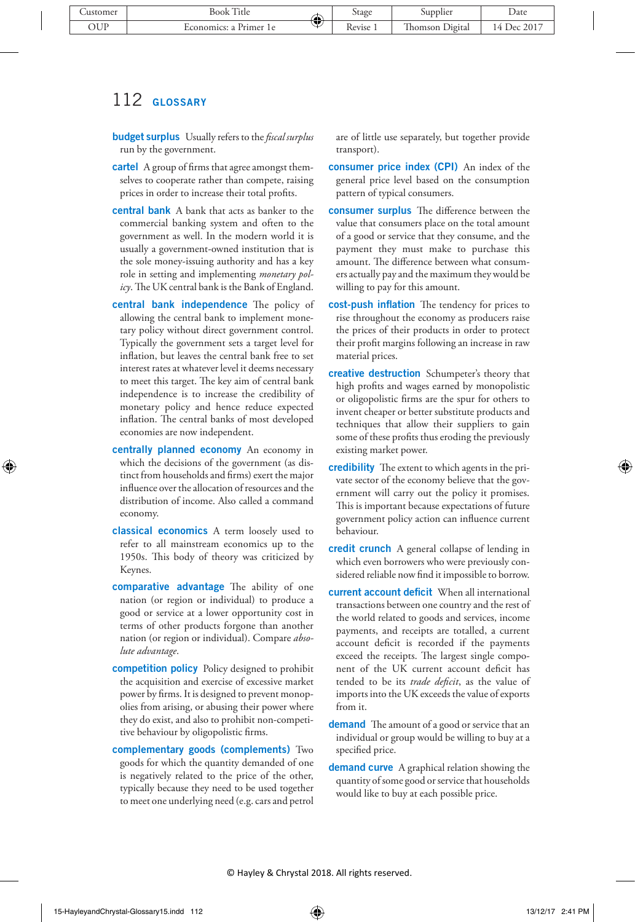- budget surplus Usually refers to the *fiscal surplus* run by the government.
- cartel A group of firms that agree amongst themselves to cooperate rather than compete, raising prices in order to increase their total profits.
- central bank A bank that acts as banker to the commercial banking system and often to the government as well. In the modern world it is usually a government-owned institution that is the sole money-issuing authority and has a key role in setting and implementing *monetary policy*. The UK central bank is the Bank of England.
- central bank independence The policy of allowing the central bank to implement monetary policy without direct government control. Typically the government sets a target level for inflation, but leaves the central bank free to set interest rates at whatever level it deems necessary to meet this target. The key aim of central bank independence is to increase the credibility of monetary policy and hence reduce expected inflation. The central banks of most developed economies are now independent.
- centrally planned economy An economy in which the decisions of the government (as distinct from households and firms) exert the major influence over the allocation of resources and the distribution of income. Also called a command economy.
- classical economics A term loosely used to refer to all mainstream economics up to the 1950s. This body of theory was criticized by Keynes.
- comparative advantage The ability of one nation (or region or individual) to produce a good or service at a lower opportunity cost in terms of other products forgone than another nation (or region or individual). Compare *absolute advantage*.
- competition policy Policy designed to prohibit the acquisition and exercise of excessive market power by firms. It is designed to prevent monopolies from arising, or abusing their power where they do exist, and also to prohibit non-competitive behaviour by oligopolistic firms.
- complementary goods (complements) Two goods for which the quantity demanded of one is negatively related to the price of the other, typically because they need to be used together to meet one underlying need (e.g. cars and petrol

are of little use separately, but together provide transport).

- consumer price index (CPI) An index of the general price level based on the consumption pattern of typical consumers.
- consumer surplus The difference between the value that consumers place on the total amount of a good or service that they consume, and the payment they must make to purchase this amount. The difference between what consumers actually pay and the maximum they would be willing to pay for this amount.
- cost-push inflation The tendency for prices to rise throughout the economy as producers raise the prices of their products in order to protect their profit margins following an increase in raw material prices.
- creative destruction Schumpeter's theory that high profits and wages earned by monopolistic or oligopolistic firms are the spur for others to invent cheaper or better substitute products and techniques that allow their suppliers to gain some of these profits thus eroding the previously existing market power.
- credibility The extent to which agents in the private sector of the economy believe that the government will carry out the policy it promises. This is important because expectations of future government policy action can influence current behaviour.
- credit crunch A general collapse of lending in which even borrowers who were previously considered reliable now find it impossible to borrow.
- current account deficit When all international transactions between one country and the rest of the world related to goods and services, income payments, and receipts are totalled, a current account deficit is recorded if the payments exceed the receipts. The largest single component of the UK current account deficit has tended to be its *trade deficit*, as the value of imports into the UK exceeds the value of exports from it.
- demand The amount of a good or service that an individual or group would be willing to buy at a specified price.
- demand curve A graphical relation showing the quantity of some good or service that households would like to buy at each possible price.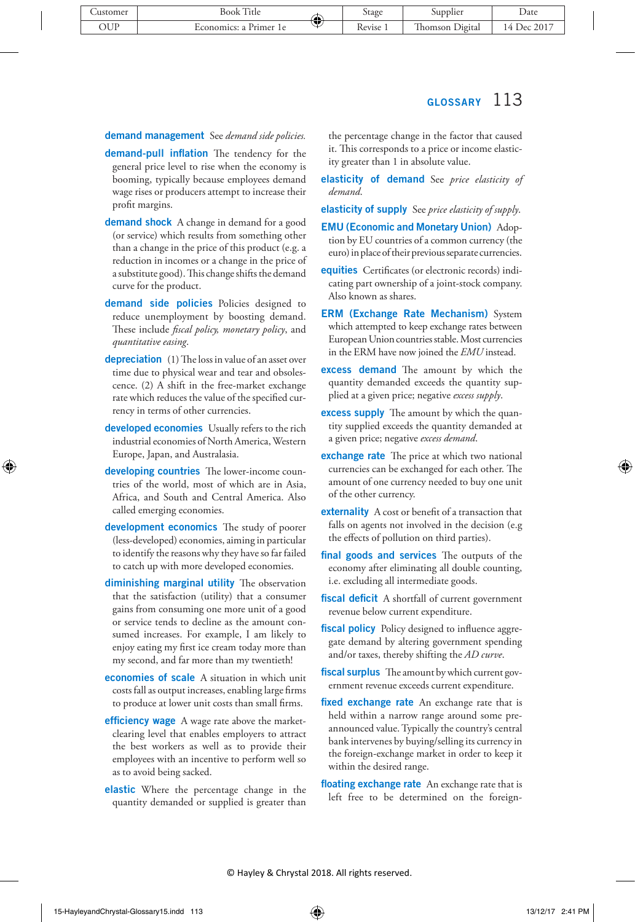#### demand management See *demand side policies.*

- demand-pull inflation The tendency for the general price level to rise when the economy is booming, typically because employees demand wage rises or producers attempt to increase their profit margins.
- demand shock A change in demand for a good (or service) which results from something other than a change in the price of this product (e.g. a reduction in incomes or a change in the price of a substitute good). This change shifts the demand curve for the product.
- demand side policies Policies designed to reduce unemployment by boosting demand. These include *fiscal policy, monetary policy*, and *quantitative easing*.
- depreciation (1) The loss in value of an asset over time due to physical wear and tear and obsolescence. (2) A shift in the free-market exchange rate which reduces the value of the specified currency in terms of other currencies.
- developed economies Usually refers to the rich industrial economies of North America, Western Europe, Japan, and Australasia.
- developing countries The lower-income countries of the world, most of which are in Asia, Africa, and South and Central America. Also called emerging economies.
- development economics The study of poorer (less-developed) economies, aiming in particular to identify the reasons why they have so far failed to catch up with more developed economies.
- diminishing marginal utility The observation that the satisfaction (utility) that a consumer gains from consuming one more unit of a good or service tends to decline as the amount consumed increases. For example, I am likely to enjoy eating my first ice cream today more than my second, and far more than my twentieth!
- economies of scale A situation in which unit costs fall as output increases, enabling large firms to produce at lower unit costs than small firms.
- **efficiency wage** A wage rate above the marketclearing level that enables employers to attract the best workers as well as to provide their employees with an incentive to perform well so as to avoid being sacked.
- elastic Where the percentage change in the quantity demanded or supplied is greater than

the percentage change in the factor that caused it. This corresponds to a price or income elasticity greater than 1 in absolute value.

- elasticity of demand See *price elasticity of demand*.
- elasticity of supply See *price elasticity of supply*.
- EMU (Economic and Monetary Union) Adoption by EU countries of a common currency (the euro) in place of their previous separate currencies.
- **equities** Certificates (or electronic records) indicating part ownership of a joint-stock company. Also known as shares.
- **ERM (Exchange Rate Mechanism)** System which attempted to keep exchange rates between European Union countries stable. Most currencies in the ERM have now joined the *EMU* instead.
- excess demand The amount by which the quantity demanded exceeds the quantity supplied at a given price; negative *excess supply*.
- excess supply The amount by which the quantity supplied exceeds the quantity demanded at a given price; negative *excess demand*.
- exchange rate The price at which two national currencies can be exchanged for each other. The amount of one currency needed to buy one unit of the other currency.
- externality A cost or benefit of a transaction that falls on agents not involved in the decision (e.g the effects of pollution on third parties).
- final goods and services The outputs of the economy after eliminating all double counting, i.e. excluding all intermediate goods.
- fiscal deficit A shortfall of current government revenue below current expenditure.
- fiscal policy Policy designed to influence aggregate demand by altering government spending and/or taxes, thereby shifting the *AD curve*.
- fiscal surplus The amount by which current government revenue exceeds current expenditure.
- fixed exchange rate An exchange rate that is held within a narrow range around some preannounced value. Typically the country's central bank intervenes by buying/selling its currency in the foreign-exchange market in order to keep it within the desired range.
- floating exchange rate An exchange rate that is left free to be determined on the foreign-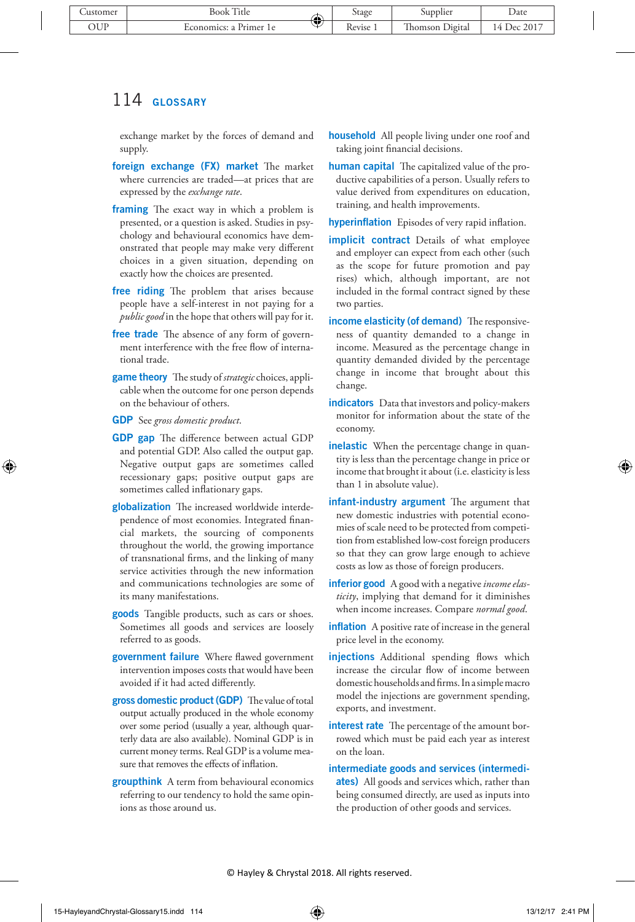exchange market by the forces of demand and supply.

- foreign exchange (FX) market The market where currencies are traded—at prices that are expressed by the *exchange rate*.
- framing The exact way in which a problem is presented, or a question is asked. Studies in psychology and behavioural economics have demonstrated that people may make very different choices in a given situation, depending on exactly how the choices are presented.
- free riding The problem that arises because people have a self-interest in not paying for a *public good* in the hope that others will pay for it.
- free trade The absence of any form of government interference with the free flow of international trade.
- game theory The study of *strategic* choices, applicable when the outcome for one person depends on the behaviour of others.
- GDP See *gross domestic product*.
- GDP gap The difference between actual GDP and potential GDP. Also called the output gap. Negative output gaps are sometimes called recessionary gaps; positive output gaps are sometimes called inflationary gaps.
- globalization The increased worldwide interdependence of most economies. Integrated financial markets, the sourcing of components throughout the world, the growing importance of transnational firms, and the linking of many service activities through the new information and communications technologies are some of its many manifestations.
- goods Tangible products, such as cars or shoes. Sometimes all goods and services are loosely referred to as goods.
- government failure Where flawed government intervention imposes costs that would have been avoided if it had acted differently.
- gross domestic product (GDP) The value of total output actually produced in the whole economy over some period (usually a year, although quarterly data are also available). Nominal GDP is in current money terms. Real GDP is a volume measure that removes the effects of inflation.
- groupthink A term from behavioural economics referring to our tendency to hold the same opinions as those around us.
- household All people living under one roof and taking joint financial decisions.
- human capital The capitalized value of the productive capabilities of a person. Usually refers to value derived from expenditures on education, training, and health improvements.

hyperinflation Episodes of very rapid inflation.

- **implicit contract** Details of what employee and employer can expect from each other (such as the scope for future promotion and pay rises) which, although important, are not included in the formal contract signed by these two parties.
- income elasticity (of demand) The responsiveness of quantity demanded to a change in income. Measured as the percentage change in quantity demanded divided by the percentage change in income that brought about this change.
- indicators Data that investors and policy-makers monitor for information about the state of the economy.
- inelastic When the percentage change in quantity is less than the percentage change in price or income that brought it about (i.e. elasticity is less than 1 in absolute value).
- infant-industry argument The argument that new domestic industries with potential economies of scale need to be protected from competition from established low-cost foreign producers so that they can grow large enough to achieve costs as low as those of foreign producers.
- inferior good A good with a negative *income elasticity*, implying that demand for it diminishes when income increases. Compare *normal good*.
- inflation A positive rate of increase in the general price level in the economy.
- injections Additional spending flows which increase the circular flow of income between domestic households and firms. In a simple macro model the injections are government spending, exports, and investment.
- interest rate The percentage of the amount borrowed which must be paid each year as interest on the loan.
- intermediate goods and services (intermediates) All goods and services which, rather than being consumed directly, are used as inputs into the production of other goods and services.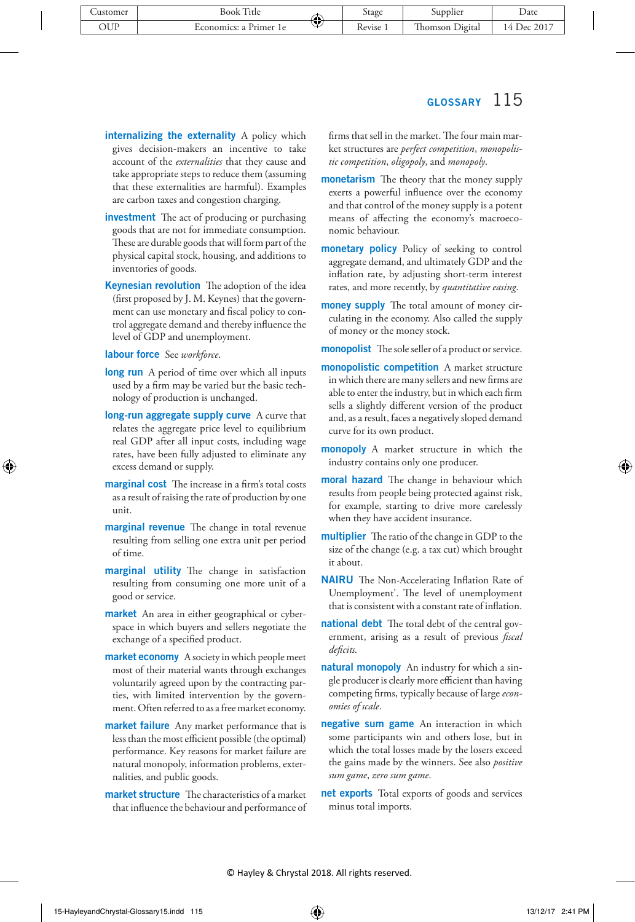- internalizing the externality A policy which gives decision-makers an incentive to take account of the *externalities* that they cause and take appropriate steps to reduce them (assuming that these externalities are harmful). Examples are carbon taxes and congestion charging.
- **investment** The act of producing or purchasing goods that are not for immediate consumption. These are durable goods that will form part of the physical capital stock, housing, and additions to inventories of goods.
- Keynesian revolution The adoption of the idea (first proposed by J. M. Keynes) that the government can use monetary and fiscal policy to control aggregate demand and thereby influence the level of GDP and unemployment.
- labour force See *workforce*.
- long run A period of time over which all inputs used by a firm may be varied but the basic technology of production is unchanged.
- long-run aggregate supply curve A curve that relates the aggregate price level to equilibrium real GDP after all input costs, including wage rates, have been fully adjusted to eliminate any excess demand or supply.
- marginal cost The increase in a firm's total costs as a result of raising the rate of production by one unit.
- marginal revenue The change in total revenue resulting from selling one extra unit per period of time.
- marginal utility The change in satisfaction resulting from consuming one more unit of a good or service.
- market An area in either geographical or cyberspace in which buyers and sellers negotiate the exchange of a specified product.
- market economy A society in which people meet most of their material wants through exchanges voluntarily agreed upon by the contracting parties, with limited intervention by the government. Often referred to as a free market economy.
- market failure Any market performance that is less than the most efficient possible (the optimal) performance. Key reasons for market failure are natural monopoly, information problems, externalities, and public goods.
- market structure The characteristics of a market that influence the behaviour and performance of

firms that sell in the market. The four main market structures are *perfect competition*, *monopolistic competition*, *oligopoly*, and *monopoly*.

- monetarism The theory that the money supply exerts a powerful influence over the economy and that control of the money supply is a potent means of affecting the economy's macroeconomic behaviour.
- monetary policy Policy of seeking to control aggregate demand, and ultimately GDP and the inflation rate, by adjusting short-term interest rates, and more recently, by *quantitative easing*.
- money supply The total amount of money circulating in the economy. Also called the supply of money or the money stock.

monopolist The sole seller of a product or service.

- monopolistic competition A market structure in which there are many sellers and new firms are able to enter the industry, but in which each firm sells a slightly different version of the product and, as a result, faces a negatively sloped demand curve for its own product.
- monopoly A market structure in which the industry contains only one producer.
- moral hazard The change in behaviour which results from people being protected against risk, for example, starting to drive more carelessly when they have accident insurance.
- multiplier The ratio of the change in GDP to the size of the change (e.g. a tax cut) which brought it about.
- NAIRU The Non-Accelerating Inflation Rate of Unemployment'. The level of unemployment that is consistent with a constant rate of inflation.
- national debt The total debt of the central government, arising as a result of previous *fiscal deficits.*
- natural monopoly An industry for which a single producer is clearly more efficient than having competing firms, typically because of large *economies of scale*.
- negative sum game An interaction in which some participants win and others lose, but in which the total losses made by the losers exceed the gains made by the winners. See also *positive sum game*, *zero sum game*.
- net exports Total exports of goods and services minus total imports.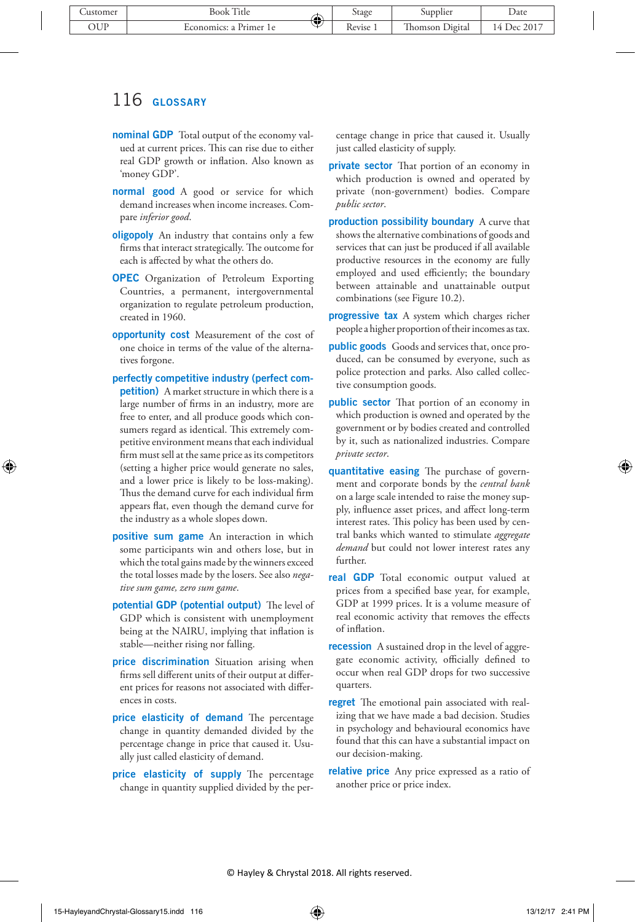- **nominal GDP** Total output of the economy valued at current prices. This can rise due to either real GDP growth or inflation. Also known as 'money GDP'.
- normal good A good or service for which demand increases when income increases. Compare *inferior good*.
- oligopoly An industry that contains only a few firms that interact strategically. The outcome for each is affected by what the others do.
- OPEC Organization of Petroleum Exporting Countries, a permanent, intergovernmental organization to regulate petroleum production, created in 1960.
- opportunity cost Measurement of the cost of one choice in terms of the value of the alternatives forgone.
- perfectly competitive industry (perfect competition) A market structure in which there is a large number of firms in an industry, more are free to enter, and all produce goods which consumers regard as identical. This extremely competitive environment means that each individual firm must sell at the same price as its competitors (setting a higher price would generate no sales, and a lower price is likely to be loss-making). Thus the demand curve for each individual firm appears flat, even though the demand curve for the industry as a whole slopes down.
- positive sum game An interaction in which some participants win and others lose, but in which the total gains made by the winners exceed the total losses made by the losers. See also *negative sum game, zero sum game*.
- potential GDP (potential output) The level of GDP which is consistent with unemployment being at the NAIRU, implying that inflation is stable—neither rising nor falling.
- price discrimination Situation arising when firms sell different units of their output at different prices for reasons not associated with differences in costs.
- **price elasticity of demand** The percentage change in quantity demanded divided by the percentage change in price that caused it. Usually just called elasticity of demand.
- price elasticity of supply The percentage change in quantity supplied divided by the per-

centage change in price that caused it. Usually just called elasticity of supply.

- **private sector** That portion of an economy in which production is owned and operated by private (non-government) bodies. Compare *public sector*.
- production possibility boundary A curve that shows the alternative combinations of goods and services that can just be produced if all available productive resources in the economy are fully employed and used efficiently; the boundary between attainable and unattainable output combinations (see Figure 10.2).
- progressive tax A system which charges richer people a higher proportion of their incomes as tax.
- public goods Goods and services that, once produced, can be consumed by everyone, such as police protection and parks. Also called collective consumption goods.
- public sector That portion of an economy in which production is owned and operated by the government or by bodies created and controlled by it, such as nationalized industries. Compare *private sector*.
- **quantitative easing** The purchase of government and corporate bonds by the *central bank* on a large scale intended to raise the money supply, influence asset prices, and affect long-term interest rates. This policy has been used by central banks which wanted to stimulate *aggregate demand* but could not lower interest rates any further.
- real GDP Total economic output valued at prices from a specified base year, for example, GDP at 1999 prices. It is a volume measure of real economic activity that removes the effects of inflation.
- recession A sustained drop in the level of aggregate economic activity, officially defined to occur when real GDP drops for two successive quarters.
- regret The emotional pain associated with realizing that we have made a bad decision. Studies in psychology and behavioural economics have found that this can have a substantial impact on our decision-making.
- relative price Any price expressed as a ratio of another price or price index.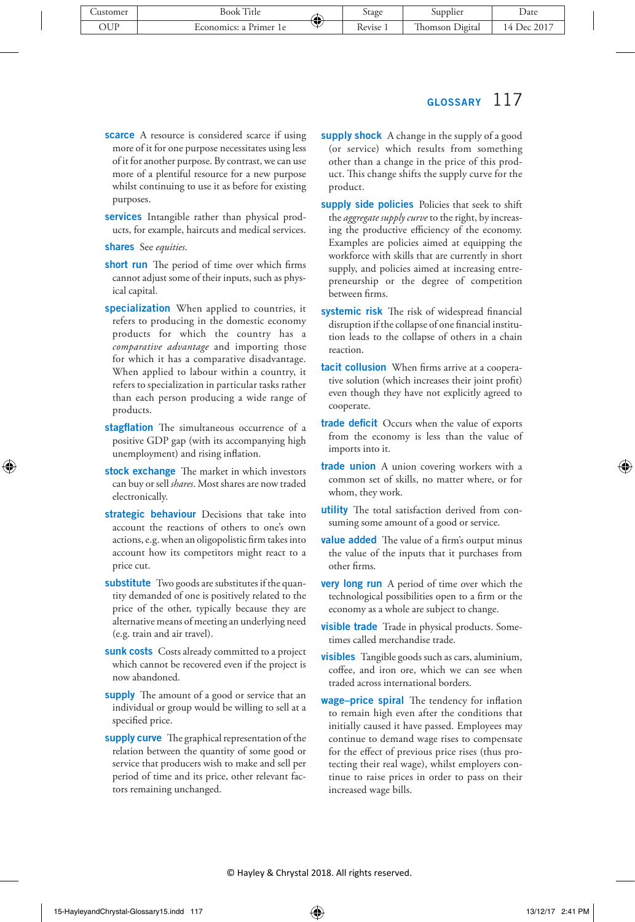- scarce A resource is considered scarce if using more of it for one purpose necessitates using less of it for another purpose. By contrast, we can use more of a plentiful resource for a new purpose whilst continuing to use it as before for existing purposes.
- services Intangible rather than physical products, for example, haircuts and medical services.

shares See *equities*.

- short run The period of time over which firms cannot adjust some of their inputs, such as physical capital.
- specialization When applied to countries, it refers to producing in the domestic economy products for which the country has a *comparative advantage* and importing those for which it has a comparative disadvantage. When applied to labour within a country, it refers to specialization in particular tasks rather than each person producing a wide range of products.
- stagflation The simultaneous occurrence of a positive GDP gap (with its accompanying high unemployment) and rising inflation.
- stock exchange The market in which investors can buy or sell *shares*. Most shares are now traded electronically.
- strategic behaviour Decisions that take into account the reactions of others to one's own actions, e.g. when an oligopolistic firm takes into account how its competitors might react to a price cut.
- substitute Two goods are substitutes if the quantity demanded of one is positively related to the price of the other, typically because they are alternative means of meeting an underlying need (e.g. train and air travel).
- sunk costs Costs already committed to a project which cannot be recovered even if the project is now abandoned.
- supply The amount of a good or service that an individual or group would be willing to sell at a specified price.
- supply curve The graphical representation of the relation between the quantity of some good or service that producers wish to make and sell per period of time and its price, other relevant factors remaining unchanged.
- supply shock A change in the supply of a good (or service) which results from something other than a change in the price of this product. This change shifts the supply curve for the product.
- supply side policies Policies that seek to shift the *aggregate supply curve* to the right, by increasing the productive efficiency of the economy. Examples are policies aimed at equipping the workforce with skills that are currently in short supply, and policies aimed at increasing entrepreneurship or the degree of competition between firms.
- systemic risk The risk of widespread financial disruption if the collapse of one financial institution leads to the collapse of others in a chain reaction.
- tacit collusion When firms arrive at a cooperative solution (which increases their joint profit) even though they have not explicitly agreed to cooperate.
- trade deficit Occurs when the value of exports from the economy is less than the value of imports into it.
- trade union A union covering workers with a common set of skills, no matter where, or for whom, they work.
- utility The total satisfaction derived from consuming some amount of a good or service.
- value added The value of a firm's output minus the value of the inputs that it purchases from other firms.
- **very long run** A period of time over which the technological possibilities open to a firm or the economy as a whole are subject to change.
- visible trade Trade in physical products. Sometimes called merchandise trade.
- visibles Tangible goods such as cars, aluminium, coffee, and iron ore, which we can see when traded across international borders.
- wage-price spiral The tendency for inflation to remain high even after the conditions that initially caused it have passed. Employees may continue to demand wage rises to compensate for the effect of previous price rises (thus protecting their real wage), whilst employers continue to raise prices in order to pass on their increased wage bills.